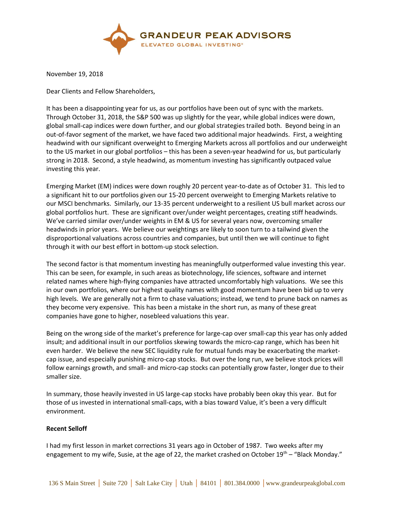

November 19, 2018

Dear Clients and Fellow Shareholders,

It has been a disappointing year for us, as our portfolios have been out of sync with the markets. Through October 31, 2018, the S&P 500 was up slightly for the year, while global indices were down, global small-cap indices were down further, and our global strategies trailed both. Beyond being in an out-of-favor segment of the market, we have faced two additional major headwinds. First, a weighting headwind with our significant overweight to Emerging Markets across all portfolios and our underweight to the US market in our global portfolios – this has been a seven-year headwind for us, but particularly strong in 2018. Second, a style headwind, as momentum investing has significantly outpaced value investing this year.

Emerging Market (EM) indices were down roughly 20 percent year-to-date as of October 31. This led to a significant hit to our portfolios given our 15-20 percent overweight to Emerging Markets relative to our MSCI benchmarks. Similarly, our 13-35 percent underweight to a resilient US bull market across our global portfolios hurt. These are significant over/under weight percentages, creating stiff headwinds. We've carried similar over/under weights in EM & US for several years now, overcoming smaller headwinds in prior years. We believe our weightings are likely to soon turn to a tailwind given the disproportional valuations across countries and companies, but until then we will continue to fight through it with our best effort in bottom-up stock selection.

The second factor is that momentum investing has meaningfully outperformed value investing this year. This can be seen, for example, in such areas as biotechnology, life sciences, software and internet related names where high-flying companies have attracted uncomfortably high valuations. We see this in our own portfolios, where our highest quality names with good momentum have been bid up to very high levels. We are generally not a firm to chase valuations; instead, we tend to prune back on names as they become very expensive. This has been a mistake in the short run, as many of these great companies have gone to higher, nosebleed valuations this year.

Being on the wrong side of the market's preference for large-cap over small-cap this year has only added insult; and additional insult in our portfolios skewing towards the micro-cap range, which has been hit even harder. We believe the new SEC liquidity rule for mutual funds may be exacerbating the marketcap issue, and especially punishing micro-cap stocks. But over the long run, we believe stock prices will follow earnings growth, and small- and micro-cap stocks can potentially grow faster, longer due to their smaller size.

In summary, those heavily invested in US large-cap stocks have probably been okay this year. But for those of us invested in international small-caps, with a bias toward Value, it's been a very difficult environment.

## **Recent Selloff**

I had my first lesson in market corrections 31 years ago in October of 1987. Two weeks after my engagement to my wife, Susie, at the age of 22, the market crashed on October 19<sup>th</sup> – "Black Monday."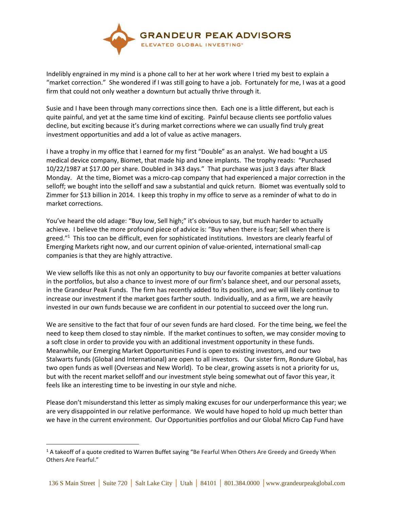

Indelibly engrained in my mind is a phone call to her at her work where I tried my best to explain a "market correction." She wondered if I was still going to have a job. Fortunately for me, I was at a good firm that could not only weather a downturn but actually thrive through it.

Susie and I have been through many corrections since then. Each one is a little different, but each is quite painful, and yet at the same time kind of exciting. Painful because clients see portfolio values decline, but exciting because it's during market corrections where we can usually find truly great investment opportunities and add a lot of value as active managers.

I have a trophy in my office that I earned for my first "Double" as an analyst. We had bought a US medical device company, Biomet, that made hip and knee implants. The trophy reads: "Purchased 10/22/1987 at \$17.00 per share. Doubled in 343 days." That purchase was just 3 days after Black Monday. At the time, Biomet was a micro-cap company that had experienced a major correction in the selloff; we bought into the selloff and saw a substantial and quick return. Biomet was eventually sold to Zimmer for \$13 billion in 2014. I keep this trophy in my office to serve as a reminder of what to do in market corrections.

You've heard the old adage: "Buy low, Sell high;" it's obvious to say, but much harder to actually achieve. I believe the more profound piece of advice is: "Buy when there is fear; Sell when there is greed."<sup>1</sup> This too can be difficult, even for sophisticated institutions. Investors are clearly fearful of Emerging Markets right now, and our current opinion of value-oriented, international small-cap companies is that they are highly attractive.

We view selloffs like this as not only an opportunity to buy our favorite companies at better valuations in the portfolios, but also a chance to invest more of our firm's balance sheet, and our personal assets, in the Grandeur Peak Funds. The firm has recently added to its position, and we will likely continue to increase our investment if the market goes farther south. Individually, and as a firm, we are heavily invested in our own funds because we are confident in our potential to succeed over the long run.

We are sensitive to the fact that four of our seven funds are hard closed. For the time being, we feel the need to keep them closed to stay nimble. If the market continues to soften, we may consider moving to a soft close in order to provide you with an additional investment opportunity in these funds. Meanwhile, our Emerging Market Opportunities Fund is open to existing investors, and our two Stalwarts funds (Global and International) are open to all investors. Our sister firm, Rondure Global, has two open funds as well (Overseas and New World). To be clear, growing assets is not a priority for us, but with the recent market selloff and our investment style being somewhat out of favor this year, it feels like an interesting time to be investing in our style and niche.

Please don't misunderstand this letter as simply making excuses for our underperformance this year; we are very disappointed in our relative performance. We would have hoped to hold up much better than we have in the current environment. Our Opportunities portfolios and our Global Micro Cap Fund have

 $\overline{a}$ 

 $1$  A takeoff of a quote credited to Warren Buffet saying "Be Fearful When Others Are Greedy and Greedy When Others Are Fearful."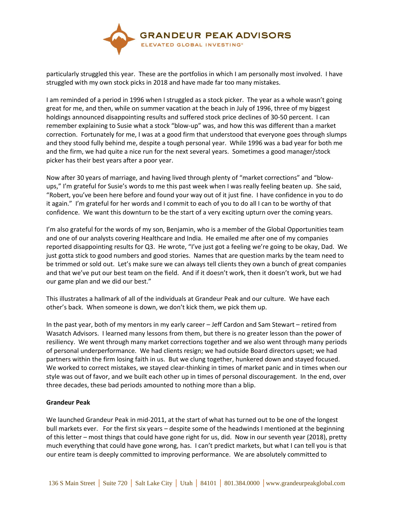

particularly struggled this year. These are the portfolios in which I am personally most involved. I have struggled with my own stock picks in 2018 and have made far too many mistakes.

I am reminded of a period in 1996 when I struggled as a stock picker. The year as a whole wasn't going great for me, and then, while on summer vacation at the beach in July of 1996, three of my biggest holdings announced disappointing results and suffered stock price declines of 30-50 percent. I can remember explaining to Susie what a stock "blow-up" was, and how this was different than a market correction. Fortunately for me, I was at a good firm that understood that everyone goes through slumps and they stood fully behind me, despite a tough personal year. While 1996 was a bad year for both me and the firm, we had quite a nice run for the next several years. Sometimes a good manager/stock picker has their best years after a poor year.

Now after 30 years of marriage, and having lived through plenty of "market corrections" and "blowups," I'm grateful for Susie's words to me this past week when I was really feeling beaten up. She said, "Robert, you've been here before and found your way out of it just fine. I have confidence in you to do it again." I'm grateful for her words and I commit to each of you to do all I can to be worthy of that confidence. We want this downturn to be the start of a very exciting upturn over the coming years.

I'm also grateful for the words of my son, Benjamin, who is a member of the Global Opportunities team and one of our analysts covering Healthcare and India. He emailed me after one of my companies reported disappointing results for Q3. He wrote, "I've just got a feeling we're going to be okay, Dad. We just gotta stick to good numbers and good stories. Names that are question marks by the team need to be trimmed or sold out. Let's make sure we can always tell clients they own a bunch of great companies and that we've put our best team on the field. And if it doesn't work, then it doesn't work, but we had our game plan and we did our best."

This illustrates a hallmark of all of the individuals at Grandeur Peak and our culture. We have each other's back. When someone is down, we don't kick them, we pick them up.

In the past year, both of my mentors in my early career – Jeff Cardon and Sam Stewart – retired from Wasatch Advisors. I learned many lessons from them, but there is no greater lesson than the power of resiliency. We went through many market corrections together and we also went through many periods of personal underperformance. We had clients resign; we had outside Board directors upset; we had partners within the firm losing faith in us. But we clung together, hunkered down and stayed focused. We worked to correct mistakes, we stayed clear-thinking in times of market panic and in times when our style was out of favor, and we built each other up in times of personal discouragement. In the end, over three decades, these bad periods amounted to nothing more than a blip.

## **Grandeur Peak**

We launched Grandeur Peak in mid-2011, at the start of what has turned out to be one of the longest bull markets ever. For the first six years – despite some of the headwinds I mentioned at the beginning of this letter – most things that could have gone right for us, did. Now in our seventh year (2018), pretty much everything that could have gone wrong, has. I can't predict markets, but what I can tell you is that our entire team is deeply committed to improving performance. We are absolutely committed to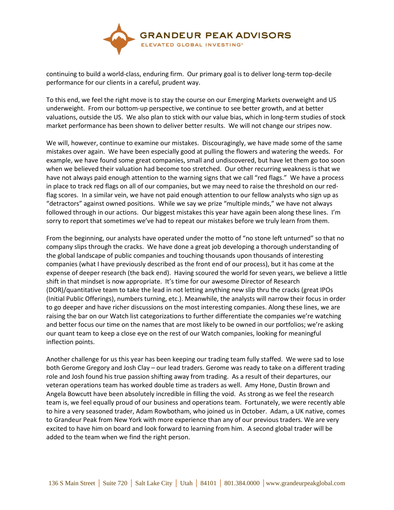

continuing to build a world-class, enduring firm. Our primary goal is to deliver long-term top-decile performance for our clients in a careful, prudent way.

To this end, we feel the right move is to stay the course on our Emerging Markets overweight and US underweight. From our bottom-up perspective, we continue to see better growth, and at better valuations, outside the US. We also plan to stick with our value bias, which in long-term studies of stock market performance has been shown to deliver better results. We will not change our stripes now.

We will, however, continue to examine our mistakes. Discouragingly, we have made some of the same mistakes over again. We have been especially good at pulling the flowers and watering the weeds. For example, we have found some great companies, small and undiscovered, but have let them go too soon when we believed their valuation had become too stretched. Our other recurring weakness is that we have not always paid enough attention to the warning signs that we call "red flags." We have a process in place to track red flags on all of our companies, but we may need to raise the threshold on our redflag scores. In a similar vein, we have not paid enough attention to our fellow analysts who sign up as "detractors" against owned positions. While we say we prize "multiple minds," we have not always followed through in our actions. Our biggest mistakes this year have again been along these lines. I'm sorry to report that sometimes we've had to repeat our mistakes before we truly learn from them.

From the beginning, our analysts have operated under the motto of "no stone left unturned" so that no company slips through the cracks. We have done a great job developing a thorough understanding of the global landscape of public companies and touching thousands upon thousands of interesting companies (what I have previously described as the front end of our process), but it has come at the expense of deeper research (the back end). Having scoured the world for seven years, we believe a little shift in that mindset is now appropriate. It's time for our awesome Director of Research (DOR)/quantitative team to take the lead in not letting anything new slip thru the cracks (great IPOs (Initial Public Offerings), numbers turning, etc.). Meanwhile, the analysts will narrow their focus in order to go deeper and have richer discussions on the most interesting companies. Along these lines, we are raising the bar on our Watch list categorizations to further differentiate the companies we're watching and better focus our time on the names that are most likely to be owned in our portfolios; we're asking our quant team to keep a close eye on the rest of our Watch companies, looking for meaningful inflection points.

Another challenge for us this year has been keeping our trading team fully staffed. We were sad to lose both Gerome Gregory and Josh Clay – our lead traders. Gerome was ready to take on a different trading role and Josh found his true passion shifting away from trading. As a result of their departures, our veteran operations team has worked double time as traders as well. Amy Hone, Dustin Brown and Angela Bowcutt have been absolutely incredible in filling the void. As strong as we feel the research team is, we feel equally proud of our business and operations team. Fortunately, we were recently able to hire a very seasoned trader, Adam Rowbotham, who joined us in October. Adam, a UK native, comes to Grandeur Peak from New York with more experience than any of our previous traders. We are very excited to have him on board and look forward to learning from him. A second global trader will be added to the team when we find the right person.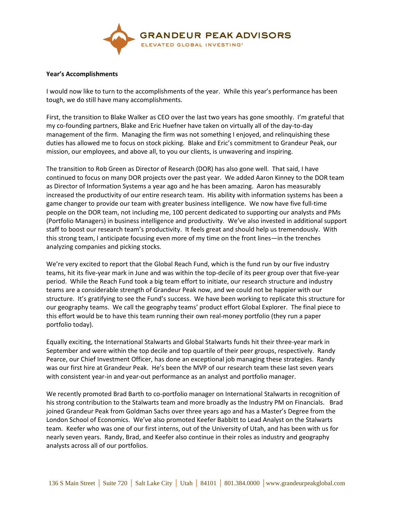

## **Year's Accomplishments**

I would now like to turn to the accomplishments of the year. While this year's performance has been tough, we do still have many accomplishments.

First, the transition to Blake Walker as CEO over the last two years has gone smoothly. I'm grateful that my co-founding partners, Blake and Eric Huefner have taken on virtually all of the day-to-day management of the firm. Managing the firm was not something I enjoyed, and relinquishing these duties has allowed me to focus on stock picking. Blake and Eric's commitment to Grandeur Peak, our mission, our employees, and above all, to you our clients, is unwavering and inspiring.

The transition to Rob Green as Director of Research (DOR) has also gone well. That said, I have continued to focus on many DOR projects over the past year. We added Aaron Kinney to the DOR team as Director of Information Systems a year ago and he has been amazing. Aaron has measurably increased the productivity of our entire research team. His ability with information systems has been a game changer to provide our team with greater business intelligence. We now have five full-time people on the DOR team, not including me, 100 percent dedicated to supporting our analysts and PMs (Portfolio Managers) in business intelligence and productivity. We've also invested in additional support staff to boost our research team's productivity. It feels great and should help us tremendously. With this strong team, I anticipate focusing even more of my time on the front lines—in the trenches analyzing companies and picking stocks.

We're very excited to report that the Global Reach Fund, which is the fund run by our five industry teams, hit its five-year mark in June and was within the top-decile of its peer group over that five-year period. While the Reach Fund took a big team effort to initiate, our research structure and industry teams are a considerable strength of Grandeur Peak now, and we could not be happier with our structure. It's gratifying to see the Fund's success. We have been working to replicate this structure for our geography teams. We call the geography teams' product effort Global Explorer. The final piece to this effort would be to have this team running their own real-money portfolio (they run a paper portfolio today).

Equally exciting, the International Stalwarts and Global Stalwarts funds hit their three-year mark in September and were within the top decile and top quartile of their peer groups, respectively. Randy Pearce, our Chief Investment Officer, has done an exceptional job managing these strategies. Randy was our first hire at Grandeur Peak. He's been the MVP of our research team these last seven years with consistent year-in and year-out performance as an analyst and portfolio manager.

We recently promoted Brad Barth to co-portfolio manager on International Stalwarts in recognition of his strong contribution to the Stalwarts team and more broadly as the Industry PM on Financials. Brad joined Grandeur Peak from Goldman Sachs over three years ago and has a Master's Degree from the London School of Economics. We've also promoted Keefer Babbitt to Lead Analyst on the Stalwarts team. Keefer who was one of our first interns, out of the University of Utah, and has been with us for nearly seven years. Randy, Brad, and Keefer also continue in their roles as industry and geography analysts across all of our portfolios.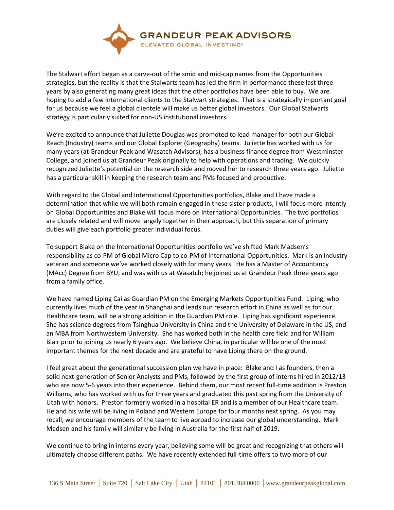

The Stalwart effort began as a carve-out of the smid and mid-cap names from the Opportunities strategies, but the reality is that the Stalwarts team has led the firm in performance these last three years by also generating many great ideas that the other portfolios have been able to buy. We are hoping to add a few international clients to the Stalwart strategies. That is a strategically important goal for us because we feel a global clientele will make us better global investors. Our Global Stalwarts strategy is particularly suited for non-US institutional investors.

We're excited to announce that Juliette Douglas was promoted to lead manager for both our Global Reach (Industry) teams and our Global Explorer (Geography) teams. Juliette has worked with us for many years (at Grandeur Peak and Wasatch Advisors), has a business finance degree from Westminster College, and joined us at Grandeur Peak originally to help with operations and trading. We quickly recognized Juliette's potential on the research side and moved her to research three years ago. Juliette has a particular skill in keeping the research team and PMs focused and productive.

With regard to the Global and International Opportunities portfolios, Blake and I have made a determination that while we will both remain engaged in these sister products, I will focus more intently on Global Opportunities and Blake will focus more on International Opportunities. The two portfolios are closely related and will move largely together in their approach, but this separation of primary duties will give each portfolio greater individual focus.

To support Blake on the International Opportunities portfolio we've shifted Mark Madsen's responsibility as co-PM of Global Micro Cap to co-PM of International Opportunities. Mark is an industry veteran and someone we've worked closely with for many years. He has a Master of Accountancy (MAcc) Degree from BYU, and was with us at Wasatch; he joined us at Grandeur Peak three years ago from a family office.

We have named Liping Cai as Guardian PM on the Emerging Markets Opportunities Fund. Liping, who currently lives much of the year in Shanghai and leads our research effort in China as well as for our Healthcare team, will be a strong addition in the Guardian PM role. Liping has significant experience. She has science degrees from Tsinghua University in China and the University of Delaware in the US, and an MBA from Northwestern University. She has worked both in the health care field and for William Blair prior to joining us nearly 6 years ago. We believe China, in particular will be one of the most important themes for the next decade and are grateful to have Liping there on the ground.

I feel great about the generational succession plan we have in place: Blake and I as founders, then a solid next-generation of Senior Analysts and PMs, followed by the first group of interns hired in 2012/13 who are now 5-6 years into their experience. Behind them, our most recent full-time addition is Preston Williams, who has worked with us for three years and graduated this past spring from the University of Utah with honors. Preston formerly worked in a hospital ER and is a member of our Healthcare team. He and his wife will be living in Poland and Western Europe for four months next spring. As you may recall, we encourage members of the team to live abroad to increase our global understanding. Mark Madsen and his family will similarly be living in Australia for the first half of 2019.

We continue to bring in interns every year, believing some will be great and recognizing that others will ultimately choose different paths. We have recently extended full-time offers to two more of our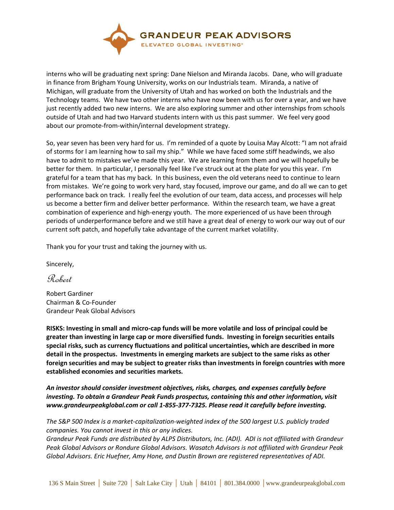

interns who will be graduating next spring: Dane Nielson and Miranda Jacobs. Dane, who will graduate in finance from Brigham Young University, works on our Industrials team. Miranda, a native of Michigan, will graduate from the University of Utah and has worked on both the Industrials and the Technology teams. We have two other interns who have now been with us for over a year, and we have just recently added two new interns. We are also exploring summer and other internships from schools outside of Utah and had two Harvard students intern with us this past summer. We feel very good about our promote-from-within/internal development strategy.

So, year seven has been very hard for us. I'm reminded of a quote by Louisa May Alcott: "I am not afraid of storms for I am learning how to sail my ship." While we have faced some stiff headwinds, we also have to admit to mistakes we've made this year. We are learning from them and we will hopefully be better for them. In particular, I personally feel like I've struck out at the plate for you this year. I'm grateful for a team that has my back. In this business, even the old veterans need to continue to learn from mistakes. We're going to work very hard, stay focused, improve our game, and do all we can to get performance back on track. I really feel the evolution of our team, data access, and processes will help us become a better firm and deliver better performance. Within the research team, we have a great combination of experience and high-energy youth. The more experienced of us have been through periods of underperformance before and we still have a great deal of energy to work our way out of our current soft patch, and hopefully take advantage of the current market volatility.

Thank you for your trust and taking the journey with us.

Sincerely,

Robert

Robert Gardiner Chairman & Co-Founder Grandeur Peak Global Advisors

**RISKS: Investing in small and micro-cap funds will be more volatile and loss of principal could be greater than investing in large cap or more diversified funds. Investing in foreign securities entails special risks, such as currency fluctuations and political uncertainties, which are described in more detail in the prospectus. Investments in emerging markets are subject to the same risks as other foreign securities and may be subject to greater risks than investments in foreign countries with more established economies and securities markets.** 

*An investor should consider investment objectives, risks, charges, and expenses carefully before investing. To obtain a Grandeur Peak Funds prospectus, containing this and other information, visit www.grandeurpeakglobal.com or call 1-855-377-7325. Please read it carefully before investing.*

*The S&P 500 Index is a market-capitalization-weighted index of the 500 largest U.S. publicly traded companies. You cannot invest in this or any indices.*

*Grandeur Peak Funds are distributed by ALPS Distributors, Inc. (ADI). ADI is not affiliated with Grandeur Peak Global Advisors or Rondure Global Advisors. Wasatch Advisors is not affiliated with Grandeur Peak Global Advisors. Eric Huefner, Amy Hone, and Dustin Brown are registered representatives of ADI.*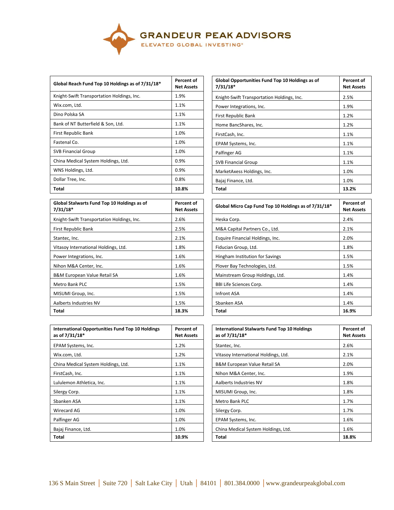

| Global Reach Fund Top 10 Holdings as of 7/31/18* | Percent of<br><b>Net Assets</b> | Global Opportunities Fund Top 10 Holdings as of<br>$7/31/18*$ | Percer<br>Net As |
|--------------------------------------------------|---------------------------------|---------------------------------------------------------------|------------------|
| Knight-Swift Transportation Holdings, Inc.       | 1.9%                            | Knight-Swift Transportation Holdings, Inc.                    | 2.5%             |
| Wix.com, Ltd.                                    | 1.1%                            | Power Integrations, Inc.                                      | 1.9%             |
| Dino Polska SA                                   | 1.1%                            | First Republic Bank                                           | 1.2%             |
| Bank of NT Butterfield & Son, Ltd.               | 1.1%                            | Home BancShares, Inc.                                         | 1.2%             |
| First Republic Bank                              | 1.0%                            | FirstCash, Inc.                                               | 1.1%             |
| Fastenal Co.                                     | 1.0%                            | EPAM Systems, Inc.                                            | 1.1%             |
| <b>SVB Financial Group</b>                       | 1.0%                            | Palfinger AG                                                  | 1.1%             |
| China Medical System Holdings, Ltd.              | 0.9%                            | <b>SVB Financial Group</b>                                    | 1.1%             |
| WNS Holdings, Ltd.                               | 0.9%                            | MarketAxess Holdings, Inc.                                    | 1.0%             |
| Dollar Tree, Inc.                                | 0.8%                            | Bajaj Finance, Ltd.                                           | 1.0%             |
| Total                                            | 10.8%                           | Total                                                         | 13.2%            |

| Global Stalwarts Fund Top 10 Holdings as of<br>$7/31/18*$ | Percent of<br><b>Net Assets</b> | Global Micro Cap Fund Top 10 Holdings as of 7/31/18* | Percer<br>Net As |
|-----------------------------------------------------------|---------------------------------|------------------------------------------------------|------------------|
| Knight-Swift Transportation Holdings, Inc.                | 2.6%                            | Heska Corp.                                          | 2.4%             |
| First Republic Bank                                       | 2.5%                            | M&A Capital Partners Co., Ltd.                       | 2.1%             |
| Stantec, Inc.                                             | 2.1%                            | Esquire Financial Holdings, Inc.                     | 2.0%             |
| Vitasoy International Holdings, Ltd.                      | 1.8%                            | Fiducian Group, Ltd.                                 | 1.8%             |
| Power Integrations, Inc.                                  | 1.6%                            | Hingham Institution for Savings                      | 1.5%             |
| Nihon M&A Center, Inc.                                    | 1.6%                            | Plover Bay Technologies, Ltd.                        | 1.5%             |
| <b>B&amp;M European Value Retail SA</b>                   | 1.6%                            | Mainstream Group Holdings, Ltd.                      | 1.4%             |
| Metro Bank PLC                                            | 1.5%                            | <b>BBI Life Sciences Corp.</b>                       | 1.4%             |
| MISUMI Group, Inc.                                        | 1.5%                            | Infront ASA                                          | 1.4%             |
| Aalberts Industries NV                                    | 1.5%                            | Sbanken ASA                                          | 1.4%             |
| Total                                                     | 18.3%                           | Total                                                | 16.9%            |

| International Opportunities Fund Top 10 Holdings<br>as of 7/31/18* | Percent of<br><b>Net Assets</b> | <b>International Stalwarts Fund Top 10 Holdings</b><br>as of 7/31/18* | Percer<br>Net As |
|--------------------------------------------------------------------|---------------------------------|-----------------------------------------------------------------------|------------------|
| EPAM Systems, Inc.                                                 | 1.2%                            | Stantec, Inc.                                                         | 2.6%             |
| Wix.com, Ltd.                                                      | 1.2%                            | Vitasoy International Holdings, Ltd.                                  | 2.1%             |
| China Medical System Holdings, Ltd.                                | 1.1%                            | <b>B&amp;M European Value Retail SA</b>                               | 2.0%             |
| FirstCash, Inc.                                                    | 1.1%                            | Nihon M&A Center, Inc.                                                | 1.9%             |
| Lululemon Athletica, Inc.                                          | 1.1%                            | Aalberts Industries NV                                                | 1.8%             |
| Silergy Corp.                                                      | 1.1%                            | MISUMI Group, Inc.                                                    | 1.8%             |
| Sbanken ASA                                                        | 1.1%                            | Metro Bank PLC                                                        | 1.7%             |
| Wirecard AG                                                        | 1.0%                            | Silergy Corp.                                                         | 1.7%             |
| Palfinger AG                                                       | 1.0%                            | EPAM Systems, Inc.                                                    | 1.6%             |
| Bajaj Finance, Ltd.                                                | 1.0%                            | China Medical System Holdings, Ltd.                                   | 1.6%             |
| Total                                                              | 10.9%                           | Total                                                                 | 18.8%            |

| Global Opportunities Fund Top 10 Holdings as of<br>$7/31/18*$ | Percent of<br><b>Net Assets</b> |
|---------------------------------------------------------------|---------------------------------|
| Knight-Swift Transportation Holdings, Inc.                    | 2.5%                            |
| Power Integrations, Inc.                                      | 1.9%                            |
| First Republic Bank                                           | 1.2%                            |
| Home BancShares, Inc.                                         | 1.2%                            |
| FirstCash, Inc.                                               | 1.1%                            |
| EPAM Systems, Inc.                                            | 1.1%                            |
| Palfinger AG                                                  | 1.1%                            |
| <b>SVB Financial Group</b>                                    | 1.1%                            |
| MarketAxess Holdings, Inc.                                    | 1.0%                            |
| Bajaj Finance, Ltd.                                           | 1.0%                            |
| Total                                                         | 13.2%                           |

| Percent of<br>Net Assets | Global Micro Cap Fund Top 10 Holdings as of 7/31/18* | Percent of<br><b>Net Assets</b> |
|--------------------------|------------------------------------------------------|---------------------------------|
| 2.6%                     | Heska Corp.                                          | 2.4%                            |
| 2.5%                     | M&A Capital Partners Co., Ltd.                       | 2.1%                            |
| 2.1%                     | Esquire Financial Holdings, Inc.                     | 2.0%                            |
| 1.8%                     | Fiducian Group, Ltd.                                 | 1.8%                            |
| 1.6%                     | Hingham Institution for Savings                      | 1.5%                            |
| 1.6%                     | Plover Bay Technologies, Ltd.                        | 1.5%                            |
| 1.6%                     | Mainstream Group Holdings, Ltd.                      | 1.4%                            |
| 1.5%                     | <b>BBI Life Sciences Corp.</b>                       | 1.4%                            |
| 1.5%                     | Infront ASA                                          | 1.4%                            |
| 1.5%                     | Sbanken ASA                                          | 1.4%                            |
| 18.3%                    | Total                                                | 16.9%                           |

| <b>International Stalwarts Fund Top 10 Holdings</b><br>as of 7/31/18* | <b>Percent of</b><br><b>Net Assets</b> |
|-----------------------------------------------------------------------|----------------------------------------|
| Stantec, Inc.                                                         | 2.6%                                   |
| Vitasoy International Holdings, Ltd.                                  | 2.1%                                   |
| <b>B&amp;M European Value Retail SA</b>                               | 2.0%                                   |
| Nihon M&A Center, Inc.                                                | 1.9%                                   |
| Aalberts Industries NV                                                | 1.8%                                   |
| MISUMI Group, Inc.                                                    | 1.8%                                   |
| <b>Metro Bank PLC</b>                                                 | 1.7%                                   |
| Silergy Corp.                                                         | 1.7%                                   |
| EPAM Systems, Inc.                                                    | 1.6%                                   |
| China Medical System Holdings, Ltd.                                   | 1.6%                                   |
| Total                                                                 | 18.8%                                  |